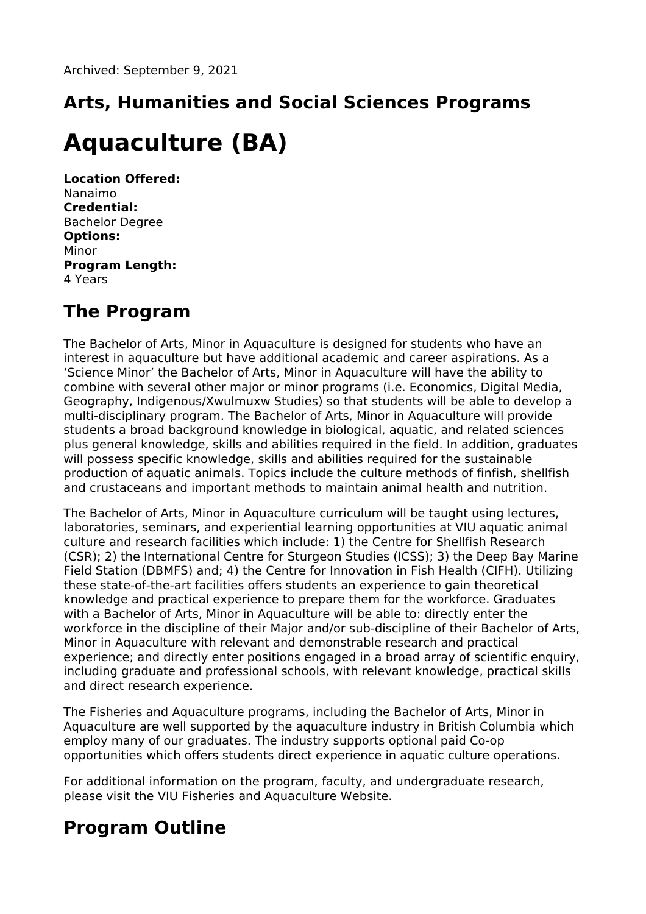# **Arts, Humanities and Social Sciences Programs**

## **Aquaculture (BA)**

**Location Offered:** Nanaimo **Credential:** Bachelor Degree **Options:** Minor **Program Length:** 4 Years

## **The Program**

The Bachelor of Arts, Minor in Aquaculture is designed for students who have an interest in aquaculture but have additional academic and career aspirations. As a 'Science Minor' the Bachelor of Arts, Minor in Aquaculture will have the ability to combine with several other major or minor programs (i.e. Economics, Digital Media, Geography, Indigenous/Xwulmuxw Studies) so that students will be able to develop a multi-disciplinary program. The Bachelor of Arts, Minor in Aquaculture will provide students a broad background knowledge in biological, aquatic, and related sciences plus general knowledge, skills and abilities required in the field. In addition, graduates will possess specific knowledge, skills and abilities required for the sustainable production of aquatic animals. Topics include the culture methods of finfish, shellfish and crustaceans and important methods to maintain animal health and nutrition.

The Bachelor of Arts, Minor in Aquaculture curriculum will be taught using lectures, laboratories, seminars, and experiential learning opportunities at VIU aquatic animal culture and research facilities which include: 1) the Centre for Shellfish Research (CSR); 2) the International Centre for Sturgeon Studies (ICSS); 3) the Deep Bay Marine Field Station (DBMFS) and; 4) the Centre for Innovation in Fish Health (CIFH). Utilizing these state-of-the-art facilities offers students an experience to gain theoretical knowledge and practical experience to prepare them for the workforce. Graduates with a Bachelor of Arts, Minor in Aquaculture will be able to: directly enter the workforce in the discipline of their Major and/or sub-discipline of their Bachelor of Arts, Minor in Aquaculture with relevant and demonstrable research and practical experience; and directly enter positions engaged in a broad array of scientific enquiry, including graduate and professional schools, with relevant knowledge, practical skills and direct research experience.

The Fisheries and Aquaculture programs, including the Bachelor of Arts, Minor in Aquaculture are well supported by the aquaculture industry in British Columbia which employ many of our graduates. The industry supports optional paid Co-op opportunities which offers students direct experience in aquatic culture operations.

For additional information on the program, faculty, and undergraduate research, please visit the VIU Fisheries and Aquaculture Website.

## **Program Outline**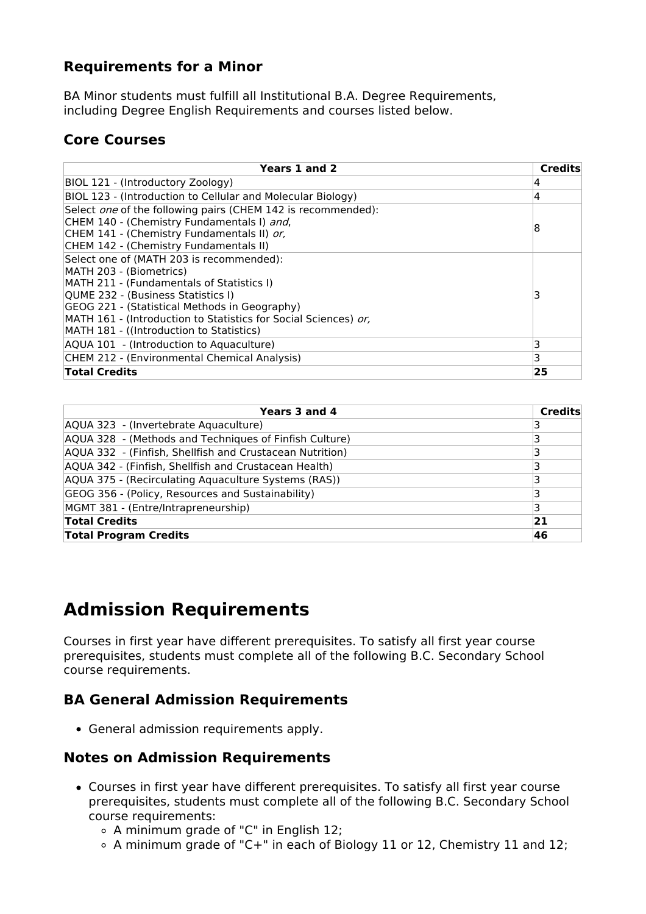#### **Requirements for a Minor**

BA Minor students must fulfill all Institutional B.A. Degree Requirements, including Degree English Requirements and courses listed below.

### **Core Courses**

| Years 1 and 2                                                                                                                                                                                                                                                                                                          | <b>Credits</b> |
|------------------------------------------------------------------------------------------------------------------------------------------------------------------------------------------------------------------------------------------------------------------------------------------------------------------------|----------------|
| BIOL 121 - (Introductory Zoology)                                                                                                                                                                                                                                                                                      | 4              |
| BIOL 123 - (Introduction to Cellular and Molecular Biology)                                                                                                                                                                                                                                                            | 4              |
| Select <i>one</i> of the following pairs (CHEM 142 is recommended):<br>CHEM 140 - (Chemistry Fundamentals I) and,<br>CHEM 141 - (Chemistry Fundamentals II) or,<br>CHEM 142 - (Chemistry Fundamentals II)                                                                                                              | 8              |
| Select one of (MATH 203 is recommended):<br>MATH 203 - (Biometrics)<br>MATH 211 - (Fundamentals of Statistics I)<br>QUME 232 - (Business Statistics I)<br>GEOG 221 - (Statistical Methods in Geography)<br>MATH 161 - (Introduction to Statistics for Social Sciences) or,<br>MATH 181 - ((Introduction to Statistics) |                |
| AQUA 101 - (Introduction to Aquaculture)                                                                                                                                                                                                                                                                               | 3              |
| CHEM 212 - (Environmental Chemical Analysis)                                                                                                                                                                                                                                                                           | 3              |
| <b>Total Credits</b>                                                                                                                                                                                                                                                                                                   | 25             |

| Years 3 and 4                                            | <b>Credits</b> |
|----------------------------------------------------------|----------------|
| AQUA 323 - (Invertebrate Aquaculture)                    |                |
| AQUA 328 - (Methods and Techniques of Finfish Culture)   |                |
| AQUA 332 - (Finfish, Shellfish and Crustacean Nutrition) |                |
| AQUA 342 - (Finfish, Shellfish and Crustacean Health)    |                |
| AQUA 375 - (Recirculating Aquaculture Systems (RAS))     |                |
| GEOG 356 - (Policy, Resources and Sustainability)        |                |
| MGMT 381 - (Entre/Intrapreneurship)                      | з              |
| <b>Total Credits</b>                                     | 21             |
| <b>Total Program Credits</b>                             | 46             |

## **Admission Requirements**

Courses in first year have different prerequisites. To satisfy all first year course prerequisites, students must complete all of the following B.C. Secondary School course requirements.

#### **BA General Admission Requirements**

General admission requirements apply.

#### **Notes on Admission Requirements**

- Courses in first year have different prerequisites. To satisfy all first year course prerequisites, students must complete all of the following B.C. Secondary School course requirements:
	- A minimum grade of "C" in English 12;
	- A minimum grade of "C+" in each of Biology 11 or 12, Chemistry 11 and 12;